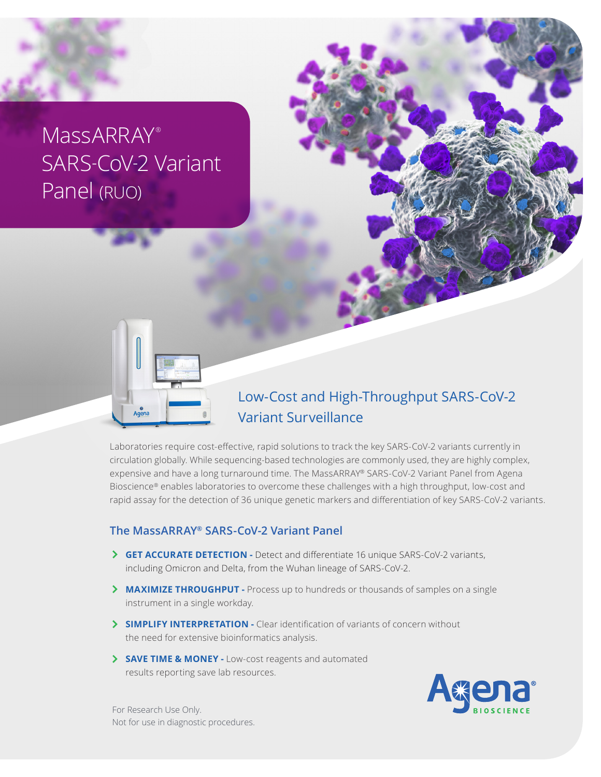# MassARRAY® SARS-CoV-2 Variant Panel (RUO)



## Low-Cost and High-Throughput SARS-CoV-2 Variant Surveillance

Laboratories require cost-effective, rapid solutions to track the key SARS-CoV-2 variants currently in circulation globally. While sequencing-based technologies are commonly used, they are highly complex, expensive and have a long turnaround time. The MassARRAY® SARS-CoV-2 Variant Panel from Agena Bioscience® enables laboratories to overcome these challenges with a high throughput, low-cost and rapid assay for the detection of 36 unique genetic markers and differentiation of key SARS-CoV-2 variants.

#### **The MassARRAY® SARS-CoV-2 Variant Panel**

- **GET ACCURATE DETECTION** Detect and differentiate 16 unique SARS-CoV-2 variants, including Omicron and Delta, from the Wuhan lineage of SARS-CoV-2.
- **MAXIMIZE THROUGHPUT -** Process up to hundreds or thousands of samples on a single instrument in a single workday.
- **SIMPLIFY INTERPRETATION -** Clear identification of variants of concern without the need for extensive bioinformatics analysis.
- **SAVE TIME & MONEY** Low-cost reagents and automated results reporting save lab resources.



For Research Use Only. Not for use in diagnostic procedures.